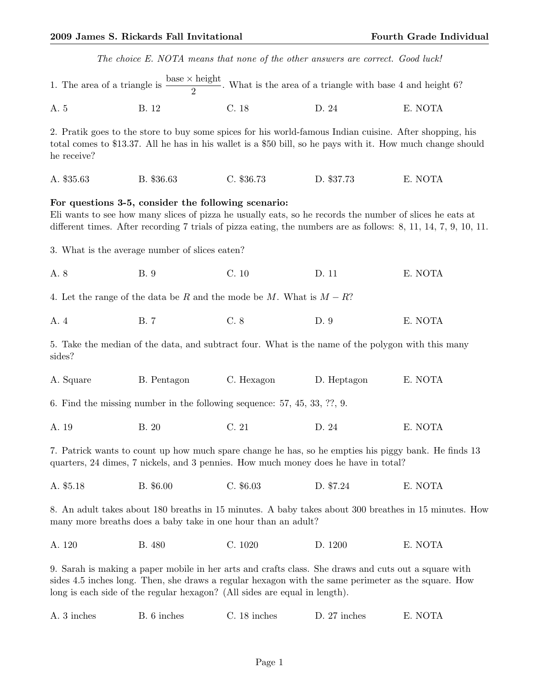|                                                                          | The choice E. NOTA means that none of the other answers are correct. Good luck!                                                                                                                                                                                                           |              |              |                                                                                                                    |
|--------------------------------------------------------------------------|-------------------------------------------------------------------------------------------------------------------------------------------------------------------------------------------------------------------------------------------------------------------------------------------|--------------|--------------|--------------------------------------------------------------------------------------------------------------------|
|                                                                          | 1. The area of a triangle is $\frac{\text{base} \times \text{height}}{2}$ . What is the area of a triangle with base 4 and height 6?                                                                                                                                                      |              |              |                                                                                                                    |
| A. 5                                                                     | B. 12                                                                                                                                                                                                                                                                                     | C. 18        | D. 24        | E. NOTA                                                                                                            |
| he receive?                                                              | 2. Pratik goes to the store to buy some spices for his world-famous Indian cuisine. After shopping, his<br>total comes to \$13.37. All he has in his wallet is a \$50 bill, so he pays with it. How much change should                                                                    |              |              |                                                                                                                    |
| A. \$35.63                                                               | B. \$36.63                                                                                                                                                                                                                                                                                | C. \$36.73   | D. \$37.73   | E. NOTA                                                                                                            |
|                                                                          | For questions 3-5, consider the following scenario:<br>Eli wants to see how many slices of pizza he usually eats, so he records the number of slices he eats at                                                                                                                           |              |              | different times. After recording 7 trials of pizza eating, the numbers are as follows: $8, 11, 14, 7, 9, 10, 11$ . |
|                                                                          | 3. What is the average number of slices eaten?                                                                                                                                                                                                                                            |              |              |                                                                                                                    |
| A. 8                                                                     | <b>B.</b> 9                                                                                                                                                                                                                                                                               | C.10         | D. 11        | E. NOTA                                                                                                            |
|                                                                          | 4. Let the range of the data be R and the mode be M. What is $M - R$ ?                                                                                                                                                                                                                    |              |              |                                                                                                                    |
| A. 4                                                                     | <b>B.7</b>                                                                                                                                                                                                                                                                                | C.8          | D. 9         | E. NOTA                                                                                                            |
| sides?                                                                   | 5. Take the median of the data, and subtract four. What is the name of the polygon with this many                                                                                                                                                                                         |              |              |                                                                                                                    |
| A. Square                                                                | B. Pentagon                                                                                                                                                                                                                                                                               | C. Hexagon   | D. Heptagon  | E. NOTA                                                                                                            |
| 6. Find the missing number in the following sequence: 57, 45, 33, ??, 9. |                                                                                                                                                                                                                                                                                           |              |              |                                                                                                                    |
| A. 19                                                                    | B. 20                                                                                                                                                                                                                                                                                     | C.21         | D. 24        | E. NOTA                                                                                                            |
|                                                                          | 7. Patrick wants to count up how much spare change he has, so he empties his piggy bank. He finds 13<br>quarters, 24 dimes, 7 nickels, and 3 pennies. How much money does he have in total?                                                                                               |              |              |                                                                                                                    |
| A. \$5.18                                                                | B. \$6.00                                                                                                                                                                                                                                                                                 | $C.$ \$6.03  | D. \$7.24    | E. NOTA                                                                                                            |
|                                                                          | many more breaths does a baby take in one hour than an adult?                                                                                                                                                                                                                             |              |              | 8. An adult takes about 180 breaths in 15 minutes. A baby takes about 300 breathes in 15 minutes. How              |
| A. 120                                                                   | B. 480                                                                                                                                                                                                                                                                                    | C. 1020      | D. 1200      | E. NOTA                                                                                                            |
|                                                                          | 9. Sarah is making a paper mobile in her arts and crafts class. She draws and cuts out a square with<br>sides 4.5 inches long. Then, she draws a regular hexagon with the same perimeter as the square. How<br>long is each side of the regular hexagon? (All sides are equal in length). |              |              |                                                                                                                    |
| A. 3 inches                                                              | B. 6 inches                                                                                                                                                                                                                                                                               | C. 18 inches | D. 27 inches | E. NOTA                                                                                                            |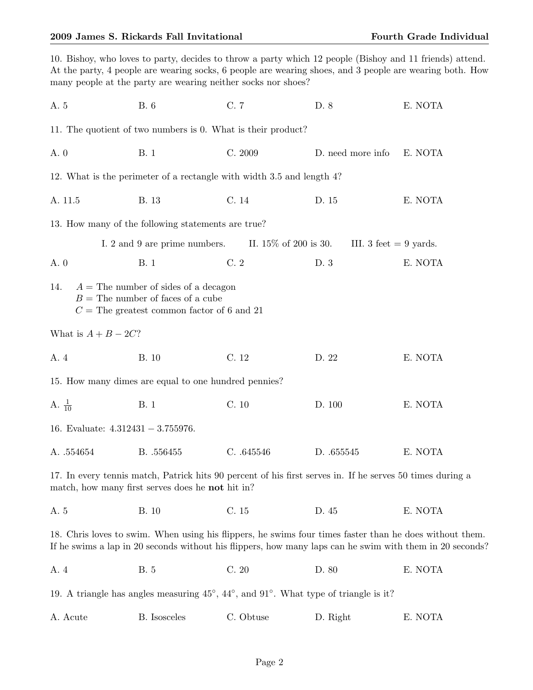## 2009 James S. Rickards Fall Invitational Fourth Grade Individual Fourth Grade Individual

|                                       | 10. Bishoy, who loves to party, decides to throw a party which 12 people (Bishoy and 11 friends) attend.<br>many people at the party are wearing neither socks nor shoes? |            |                                                 | At the party, 4 people are wearing socks, 6 people are wearing shoes, and 3 people are wearing both. How |
|---------------------------------------|---------------------------------------------------------------------------------------------------------------------------------------------------------------------------|------------|-------------------------------------------------|----------------------------------------------------------------------------------------------------------|
| A. 5                                  | <b>B.</b> 6                                                                                                                                                               | C. 7       | D. 8                                            | E. NOTA                                                                                                  |
|                                       | 11. The quotient of two numbers is 0. What is their product?                                                                                                              |            |                                                 |                                                                                                          |
| A. 0                                  | <b>B.</b> 1                                                                                                                                                               | C. 2009    | D. need more info                               | E. NOTA                                                                                                  |
|                                       | 12. What is the perimeter of a rectangle with width 3.5 and length 4?                                                                                                     |            |                                                 |                                                                                                          |
| A. 11.5                               | B. 13                                                                                                                                                                     | C. 14      | D. 15                                           | E. NOTA                                                                                                  |
|                                       | 13. How many of the following statements are true?                                                                                                                        |            |                                                 |                                                                                                          |
|                                       | I. 2 and 9 are prime numbers.                                                                                                                                             |            | II. $15\%$ of 200 is 30. III. 3 feet = 9 yards. |                                                                                                          |
| A. 0                                  | <b>B.</b> 1                                                                                                                                                               | C.2        | D. 3                                            | E. NOTA                                                                                                  |
| 14.                                   | $A =$ The number of sides of a decagon<br>$B =$ The number of faces of a cube<br>$C =$ The greatest common factor of 6 and 21                                             |            |                                                 |                                                                                                          |
| What is $A + B - 2C$ ?                |                                                                                                                                                                           |            |                                                 |                                                                                                          |
| A. 4                                  | <b>B.</b> 10                                                                                                                                                              | C. 12      | D. 22                                           | E. NOTA                                                                                                  |
|                                       | 15. How many dimes are equal to one hundred pennies?                                                                                                                      |            |                                                 |                                                                                                          |
| A. $\frac{1}{10}$                     | <b>B.</b> 1                                                                                                                                                               | C. 10      | D. 100                                          | E. NOTA                                                                                                  |
| 16. Evaluate: $4.312431 - 3.755976$ . |                                                                                                                                                                           |            |                                                 |                                                                                                          |
| A. $.554654$                          | B. .556455                                                                                                                                                                | C. .645546 | D. $.655545$                                    | E. NOTA                                                                                                  |
|                                       | 17. In every tennis match, Patrick hits 90 percent of his first serves in. If he serves 50 times during a<br>match, how many first serves does he not hit in?             |            |                                                 |                                                                                                          |
| A. 5                                  | <b>B.</b> 10                                                                                                                                                              | C. 15      | D. 45                                           | E. NOTA                                                                                                  |
|                                       | 18. Chris loves to swim. When using his flippers, he swims four times faster than he does without them.                                                                   |            |                                                 | If he swims a lap in 20 seconds without his flippers, how many laps can he swim with them in 20 seconds? |
| A. 4                                  | <b>B.</b> 5                                                                                                                                                               | C.20       | D. 80                                           | E. NOTA                                                                                                  |
|                                       | 19. A triangle has angles measuring $45^{\circ}$ , $44^{\circ}$ , and $91^{\circ}$ . What type of triangle is it?                                                         |            |                                                 |                                                                                                          |
| A. Acute                              | <b>B.</b> Isosceles                                                                                                                                                       | C. Obtuse  | D. Right                                        | E. NOTA                                                                                                  |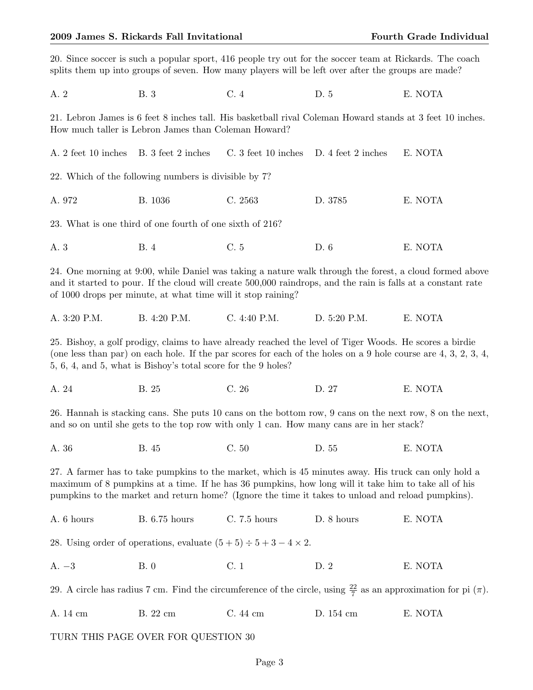|                                        | 20. Since soccer is such a popular sport, 416 people try out for the soccer team at Rickards. The coach<br>splits them up into groups of seven. How many players will be left over after the groups are made?                                                                                                     |                                        |              |                                                                                                                               |  |
|----------------------------------------|-------------------------------------------------------------------------------------------------------------------------------------------------------------------------------------------------------------------------------------------------------------------------------------------------------------------|----------------------------------------|--------------|-------------------------------------------------------------------------------------------------------------------------------|--|
| A. 2                                   | <b>B.</b> 3                                                                                                                                                                                                                                                                                                       | C.4                                    | D. 5         | E. NOTA                                                                                                                       |  |
|                                        | 21. Lebron James is 6 feet 8 inches tall. His basketball rival Coleman Howard stands at 3 feet 10 inches.<br>How much taller is Lebron James than Coleman Howard?                                                                                                                                                 |                                        |              |                                                                                                                               |  |
| A. 2 feet 10 inches B. 3 feet 2 inches |                                                                                                                                                                                                                                                                                                                   | C. 3 feet 10 inches D. 4 feet 2 inches |              | E. NOTA                                                                                                                       |  |
|                                        | 22. Which of the following numbers is divisible by 7?                                                                                                                                                                                                                                                             |                                        |              |                                                                                                                               |  |
| A. 972                                 | B. 1036                                                                                                                                                                                                                                                                                                           | C. 2563                                | D. 3785      | E. NOTA                                                                                                                       |  |
|                                        | 23. What is one third of one fourth of one sixth of 216?                                                                                                                                                                                                                                                          |                                        |              |                                                                                                                               |  |
| A. 3                                   | <b>B.</b> 4                                                                                                                                                                                                                                                                                                       | C. 5                                   | D. 6         | E. NOTA                                                                                                                       |  |
|                                        | and it started to pour. If the cloud will create 500,000 raindrops, and the rain is falls at a constant rate<br>of 1000 drops per minute, at what time will it stop raining?                                                                                                                                      |                                        |              | 24. One morning at 9:00, while Daniel was taking a nature walk through the forest, a cloud formed above                       |  |
| A. 3:20 P.M.                           | B. 4:20 P.M.                                                                                                                                                                                                                                                                                                      | C. 4:40 P.M.                           | D. 5:20 P.M. | E. NOTA                                                                                                                       |  |
|                                        | 25. Bishoy, a golf prodigy, claims to have already reached the level of Tiger Woods. He scores a birdie<br>5, 6, 4, and 5, what is Bishoy's total score for the 9 holes?                                                                                                                                          |                                        |              | (one less than par) on each hole. If the par scores for each of the holes on a 9 hole course are $4, 3, 2, 3, 4$ ,            |  |
| A. 24                                  | B. 25                                                                                                                                                                                                                                                                                                             | C. 26                                  | D. 27        | E. NOTA                                                                                                                       |  |
|                                        | and so on until she gets to the top row with only 1 can. How many cans are in her stack?                                                                                                                                                                                                                          |                                        |              | 26. Hannah is stacking cans. She puts 10 cans on the bottom row, 9 cans on the next row, 8 on the next,                       |  |
| A. 36                                  | <b>B.</b> 45                                                                                                                                                                                                                                                                                                      | C.50                                   | D. 55        | E. NOTA                                                                                                                       |  |
|                                        | 27. A farmer has to take pumpkins to the market, which is 45 minutes away. His truck can only hold a<br>maximum of 8 pumpkins at a time. If he has 36 pumpkins, how long will it take him to take all of his<br>pumpkins to the market and return home? (Ignore the time it takes to unload and reload pumpkins). |                                        |              |                                                                                                                               |  |
| A. 6 hours                             | <b>B.</b> 6.75 hours                                                                                                                                                                                                                                                                                              | C. 7.5 hours                           | D. 8 hours   | E. NOTA                                                                                                                       |  |
|                                        | 28. Using order of operations, evaluate $(5+5) \div 5 + 3 - 4 \times 2$ .                                                                                                                                                                                                                                         |                                        |              |                                                                                                                               |  |
| $A. -3$                                | B.0                                                                                                                                                                                                                                                                                                               | C.1                                    | D. 2         | E. NOTA                                                                                                                       |  |
|                                        |                                                                                                                                                                                                                                                                                                                   |                                        |              | 29. A circle has radius 7 cm. Find the circumference of the circle, using $\frac{22}{7}$ as an approximation for pi $(\pi)$ . |  |
| A. 14 cm                               | B. 22 cm                                                                                                                                                                                                                                                                                                          | C.44cm                                 | D. 154 cm    | E. NOTA                                                                                                                       |  |
|                                        | TURN THIS PAGE OVER FOR QUESTION 30                                                                                                                                                                                                                                                                               |                                        |              |                                                                                                                               |  |
| Page 3                                 |                                                                                                                                                                                                                                                                                                                   |                                        |              |                                                                                                                               |  |